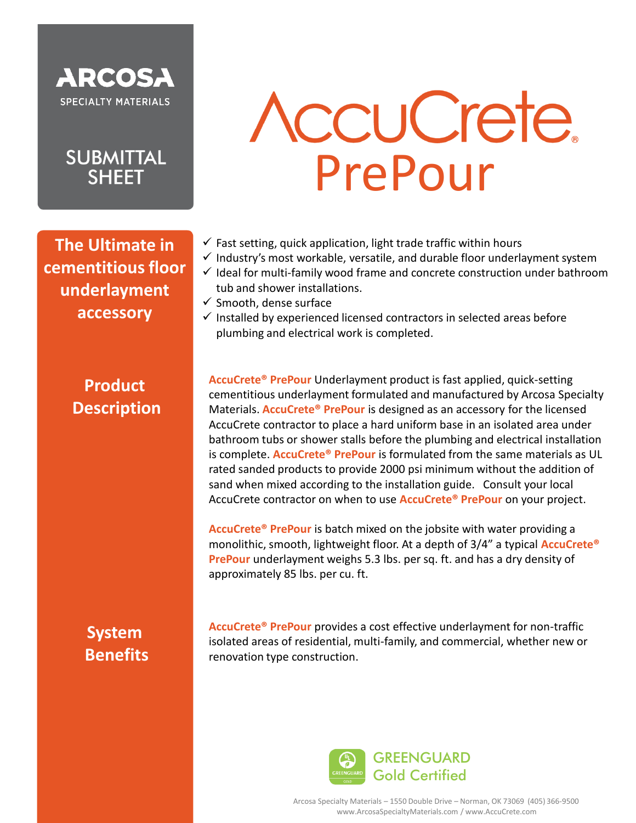

## **SUBMITTAL SHEET**

**The Ultimate in cementitious floor underlayment accessory**

# **AccuCrete** PrePour

- $\checkmark$  Fast setting, quick application, light trade traffic within hours
- $\checkmark$  Industry's most workable, versatile, and durable floor underlayment system
- $\checkmark$  Ideal for multi-family wood frame and concrete construction under bathroom tub and shower installations.
- $\checkmark$  Smooth, dense surface
- $\checkmark$  Installed by experienced licensed contractors in selected areas before plumbing and electrical work is completed.

### **Product Description**

**AccuCrete® PrePour** Underlayment product is fast applied, quick-setting cementitious underlayment formulated and manufactured by Arcosa Specialty Materials. **AccuCrete® PrePour** is designed as an accessory for the licensed AccuCrete contractor to place a hard uniform base in an isolated area under bathroom tubs or shower stalls before the plumbing and electrical installation is complete. **AccuCrete® PrePour** is formulated from the same materials as UL rated sanded products to provide 2000 psi minimum without the addition of sand when mixed according to the installation guide. Consult your local AccuCrete contractor on when to use **AccuCrete® PrePour** on your project.

**AccuCrete® PrePour** is batch mixed on the jobsite with water providing a monolithic, smooth, lightweight floor. At a depth of 3/4" a typical **AccuCrete® PrePour** underlayment weighs 5.3 lbs. per sq. ft. and has a dry density of approximately 85 lbs. per cu. ft.

## **System Benefits**

**AccuCrete® PrePour** provides a cost effective underlayment for non-traffic isolated areas of residential, multi-family, and commercial, whether new or renovation type construction.



Arcosa Specialty Materials – 1550 Double Drive – Norman, OK 73069 (405) 366-9500 www.ArcosaSpecialtyMaterials.com / www.AccuCrete.com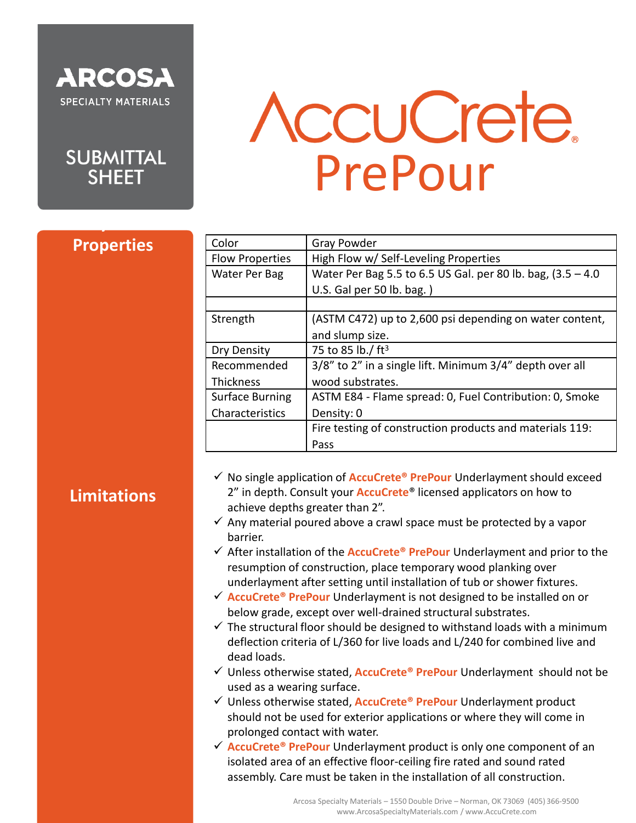



# **AccuCrete** PrePour

#### **Properties**

**Physical** 

| Color                  | <b>Gray Powder</b>                                             |
|------------------------|----------------------------------------------------------------|
| <b>Flow Properties</b> | High Flow w/ Self-Leveling Properties                          |
| Water Per Bag          | Water Per Bag 5.5 to 6.5 US Gal. per 80 lb. bag, $(3.5 - 4.0)$ |
|                        | U.S. Gal per 50 lb. bag.)                                      |
|                        |                                                                |
| Strength               | (ASTM C472) up to 2,600 psi depending on water content,        |
|                        | and slump size.                                                |
| Dry Density            | 75 to 85 lb./ ft <sup>3</sup>                                  |
| Recommended            | 3/8" to 2" in a single lift. Minimum 3/4" depth over all       |
| <b>Thickness</b>       | wood substrates.                                               |
| <b>Surface Burning</b> | ASTM E84 - Flame spread: 0, Fuel Contribution: 0, Smoke        |
| Characteristics        | Density: 0                                                     |
|                        | Fire testing of construction products and materials 119:       |
|                        | Pass                                                           |

#### **Limitations**

- ✓ No single application of **AccuCrete® PrePour** Underlayment should exceed 2" in depth. Consult your **AccuCrete**® licensed applicators on how to achieve depths greater than 2".
- $\checkmark$  Any material poured above a crawl space must be protected by a vapor barrier.
- ✓ After installation of the **AccuCrete® PrePour** Underlayment and prior to the resumption of construction, place temporary wood planking over underlayment after setting until installation of tub or shower fixtures.
- ✓ **AccuCrete® PrePour** Underlayment is not designed to be installed on or below grade, except over well-drained structural substrates.
- $\checkmark$  The structural floor should be designed to withstand loads with a minimum deflection criteria of L/360 for live loads and L/240 for combined live and dead loads.
- ✓ Unless otherwise stated, **AccuCrete® PrePour** Underlayment should not be used as a wearing surface.
- ✓ Unless otherwise stated, **AccuCrete® PrePour** Underlayment product should not be used for exterior applications or where they will come in prolonged contact with water.
- ✓ **AccuCrete® PrePour** Underlayment product is only one component of an isolated area of an effective floor-ceiling fire rated and sound rated assembly. Care must be taken in the installation of all construction.